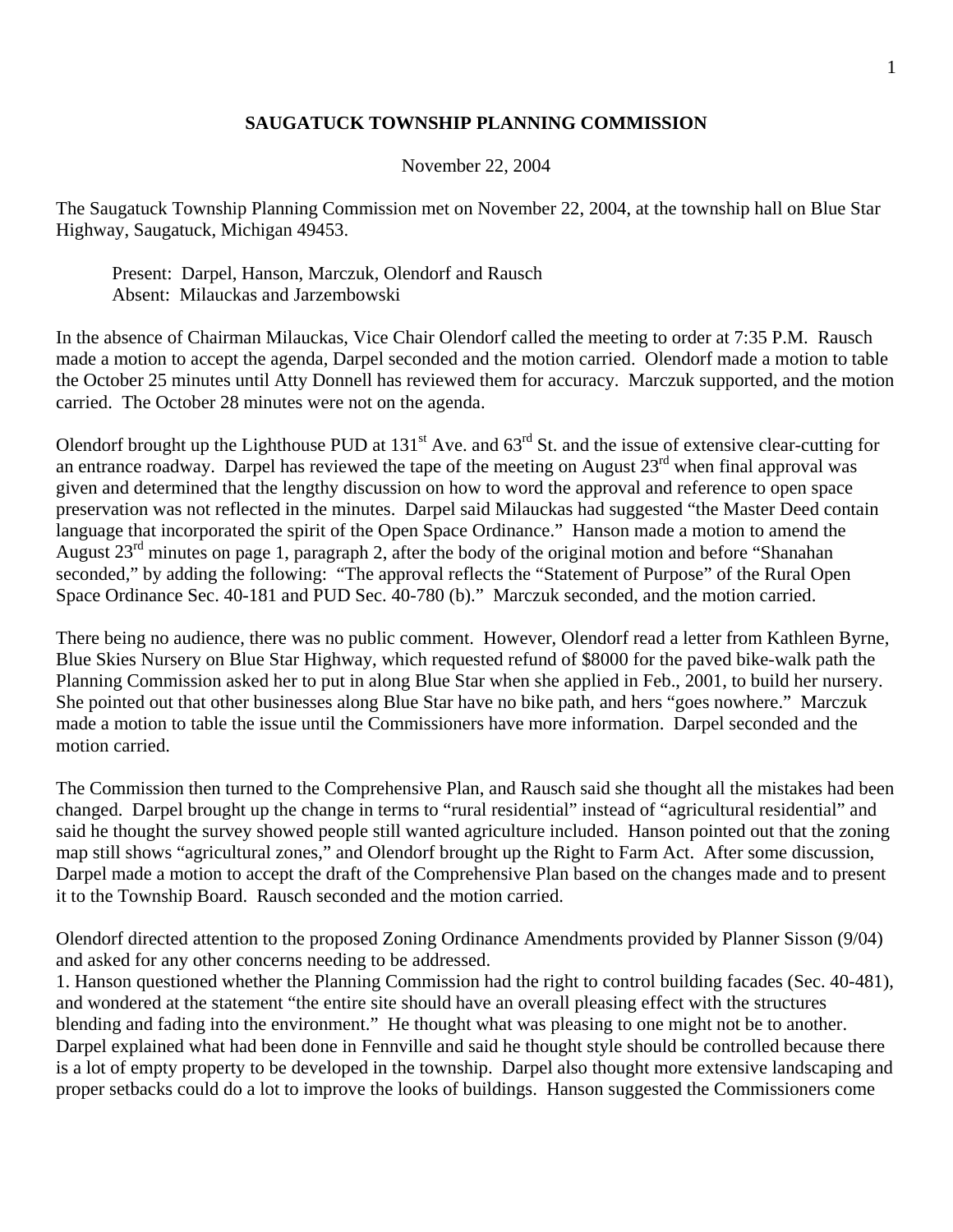## **SAUGATUCK TOWNSHIP PLANNING COMMISSION**

## November 22, 2004

The Saugatuck Township Planning Commission met on November 22, 2004, at the township hall on Blue Star Highway, Saugatuck, Michigan 49453.

 Present: Darpel, Hanson, Marczuk, Olendorf and Rausch Absent: Milauckas and Jarzembowski

In the absence of Chairman Milauckas, Vice Chair Olendorf called the meeting to order at 7:35 P.M. Rausch made a motion to accept the agenda, Darpel seconded and the motion carried. Olendorf made a motion to table the October 25 minutes until Atty Donnell has reviewed them for accuracy. Marczuk supported, and the motion carried. The October 28 minutes were not on the agenda.

Olendorf brought up the Lighthouse PUD at  $131<sup>st</sup>$  Ave. and  $63<sup>rd</sup>$  St. and the issue of extensive clear-cutting for an entrance roadway. Darpel has reviewed the tape of the meeting on August  $23<sup>rd</sup>$  when final approval was given and determined that the lengthy discussion on how to word the approval and reference to open space preservation was not reflected in the minutes. Darpel said Milauckas had suggested "the Master Deed contain language that incorporated the spirit of the Open Space Ordinance." Hanson made a motion to amend the August  $23<sup>rd</sup>$  minutes on page 1, paragraph 2, after the body of the original motion and before "Shanahan" seconded," by adding the following: "The approval reflects the "Statement of Purpose" of the Rural Open Space Ordinance Sec. 40-181 and PUD Sec. 40-780 (b)." Marczuk seconded, and the motion carried.

There being no audience, there was no public comment. However, Olendorf read a letter from Kathleen Byrne, Blue Skies Nursery on Blue Star Highway, which requested refund of \$8000 for the paved bike-walk path the Planning Commission asked her to put in along Blue Star when she applied in Feb., 2001, to build her nursery. She pointed out that other businesses along Blue Star have no bike path, and hers "goes nowhere." Marczuk made a motion to table the issue until the Commissioners have more information. Darpel seconded and the motion carried.

The Commission then turned to the Comprehensive Plan, and Rausch said she thought all the mistakes had been changed. Darpel brought up the change in terms to "rural residential" instead of "agricultural residential" and said he thought the survey showed people still wanted agriculture included. Hanson pointed out that the zoning map still shows "agricultural zones," and Olendorf brought up the Right to Farm Act. After some discussion, Darpel made a motion to accept the draft of the Comprehensive Plan based on the changes made and to present it to the Township Board. Rausch seconded and the motion carried.

Olendorf directed attention to the proposed Zoning Ordinance Amendments provided by Planner Sisson (9/04) and asked for any other concerns needing to be addressed.

1. Hanson questioned whether the Planning Commission had the right to control building facades (Sec. 40-481), and wondered at the statement "the entire site should have an overall pleasing effect with the structures blending and fading into the environment." He thought what was pleasing to one might not be to another. Darpel explained what had been done in Fennville and said he thought style should be controlled because there is a lot of empty property to be developed in the township. Darpel also thought more extensive landscaping and proper setbacks could do a lot to improve the looks of buildings. Hanson suggested the Commissioners come